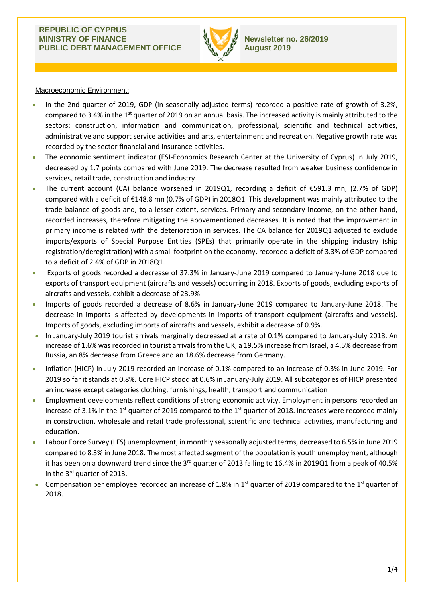## **REPUBLIC OF CYPRUS MINISTRY OF FINANCE PUBLIC DEBT MANAGEMENT OFFICE**



## Macroeconomic Environment:

- In the 2nd quarter of 2019, GDP (in seasonally adjusted terms) recorded a positive rate of growth of 3.2%, compared to 3.4% in the 1st quarter of 2019 on an annual basis. The increased activity is mainly attributed to the sectors: construction, information and communication, professional, scientific and technical activities, administrative and support service activities and arts, entertainment and recreation. Negative growth rate was recorded by the sector financial and insurance activities.
- The economic sentiment indicator (ESI-Economics Research Center at the University of Cyprus) in July 2019, decreased by 1.7 points compared with June 2019. The decrease resulted from weaker business confidence in services, retail trade, construction and industry.
- The current account (CA) balance worsened in 2019Q1, recording a deficit of €591.3 mn, (2.7% of GDP) compared with a deficit of €148.8 mn (0.7% of GDP) in 2018Q1. This development was mainly attributed to the trade balance of goods and, to a lesser extent, services. Primary and secondary income, on the other hand, recorded increases, therefore mitigating the abovementioned decreases. It is noted that the improvement in primary income is related with the deterioration in services. The CA balance for 2019Q1 adjusted to exclude imports/exports of Special Purpose Entities (SPEs) that primarily operate in the shipping industry (ship registration/deregistration) with a small footprint on the economy, recorded a deficit of 3.3% of GDP compared to a deficit of 2.4% of GDP in 2018Q1.
- Exports of goods recorded a decrease of 37.3% in January-June 2019 compared to January-June 2018 due to exports of transport equipment (aircrafts and vessels) occurring in 2018. Exports of goods, excluding exports of aircrafts and vessels, exhibit a decrease of 23.9%
- Imports of goods recorded a decrease of 8.6% in January-June 2019 compared to January-June 2018. The decrease in imports is affected by developments in imports of transport equipment (aircrafts and vessels). Imports of goods, excluding imports of aircrafts and vessels, exhibit a decrease of 0.9%.
- In January-July 2019 tourist arrivals marginally decreased at a rate of 0.1% compared to January-July 2018. An increase of 1.6% was recorded in tourist arrivals from the UK, a 19.5% increase from Israel, a 4.5% decrease from Russia, an 8% decrease from Greece and an 18.6% decrease from Germany.
- Inflation (HICP) in July 2019 recorded an increase of 0.1% compared to an increase of 0.3% in June 2019. For 2019 so far it stands at 0.8%. Core HICP stood at 0.6% in January-July 2019. All subcategories of HICP presented an increase except categories clothing, furnishings, health, transport and communication
- Employment developments reflect conditions of strong economic activity. Employment in persons recorded an increase of 3.1% in the 1<sup>st</sup> quarter of 2019 compared to the 1<sup>st</sup> quarter of 2018. Increases were recorded mainly in construction, wholesale and retail trade professional, scientific and technical activities, manufacturing and education.
- Labour Force Survey (LFS) unemployment, in monthly seasonally adjusted terms, decreased to 6.5% in June 2019 compared to 8.3% in June 2018. The most affected segment of the population is youth unemployment, although it has been on a downward trend since the 3<sup>rd</sup> quarter of 2013 falling to 16.4% in 2019Q1 from a peak of 40.5% in the 3<sup>rd</sup> quarter of 2013.
- Compensation per employee recorded an increase of 1.8% in 1st quarter of 2019 compared to the 1st quarter of 2018.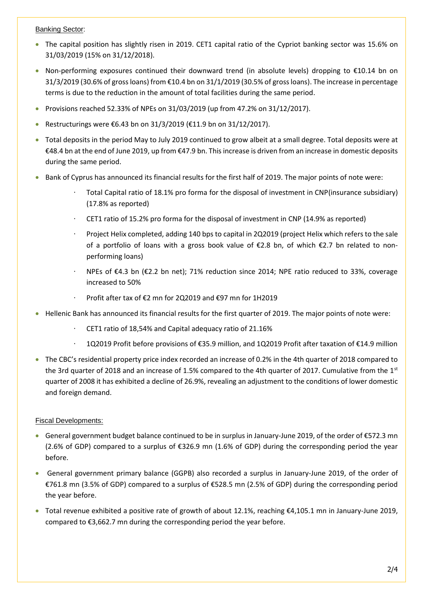Banking Sector:

- The capital position has slightly risen in 2019. CET1 capital ratio of the Cypriot banking sector was 15.6% on 31/03/2019 (15% on 31/12/2018).
- Non-performing exposures continued their downward trend (in absolute levels) dropping to €10.14 bn on 31/3/2019 (30.6% of gross loans) from €10.4 bn on 31/1/2019 (30.5% of gross loans). The increase in percentage terms is due to the reduction in the amount of total facilities during the same period.
- Provisions reached 52.33% of NPEs on 31/03/2019 (up from 47.2% on 31/12/2017).
- Restructurings were €6.43 bn on 31/3/2019 (€11.9 bn on 31/12/2017).
- Total deposits in the period May to July 2019 continued to grow albeit at a small degree. Total deposits were at €48.4 bn at the end of June 2019, up from €47.9 bn. This increase is driven from an increase in domestic deposits during the same period.
- Bank of Cyprus has announced its financial results for the first half of 2019. The major points of note were:
	- · Total Capital ratio of 18.1% pro forma for the disposal of investment in CNP(insurance subsidiary) (17.8% as reported)
	- · CET1 ratio of 15.2% pro forma for the disposal of investment in CNP (14.9% as reported)
	- Project Helix completed, adding 140 bps to capital in 2Q2019 (project Helix which refers to the sale of a portfolio of loans with a gross book value of €2.8 bn, of which €2.7 bn related to nonperforming loans)
	- NPEs of €4.3 bn (€2.2 bn net); 71% reduction since 2014; NPE ratio reduced to 33%, coverage increased to 50%
	- · Profit after tax of €2 mn for 2Q2019 and €97 mn for 1H2019
- Hellenic Bank has announced its financial results for the first quarter of 2019. The major points of note were:
	- · CET1 ratio of 18,54% and Capital adequacy ratio of 21.16%
	- · 1Q2019 Profit before provisions of €35.9 million, and 1Q2019 Profit after taxation of €14.9 million
- The CBC's residential property price index recorded an increase of 0.2% in the 4th quarter of 2018 compared to the 3rd quarter of 2018 and an increase of 1.5% compared to the 4th quarter of 2017. Cumulative from the  $1<sup>st</sup>$ quarter of 2008 it has exhibited a decline of 26.9%, revealing an adjustment to the conditions of lower domestic and foreign demand.

# Fiscal Developments:

- General government budget balance continued to be in surplus in January-June 2019, of the order of €572.3 mn (2.6% of GDP) compared to a surplus of €326.9 mn (1.6% of GDP) during the corresponding period the year before.
- General government primary balance (GGPB) also recorded a surplus in January-June 2019, of the order of €761.8 mn (3.5% of GDP) compared to a surplus of €528.5 mn (2.5% of GDP) during the corresponding period the year before.
- Total revenue exhibited a positive rate of growth of about 12.1%, reaching €4,105.1 mn in January-June 2019, compared to €3,662.7 mn during the corresponding period the year before.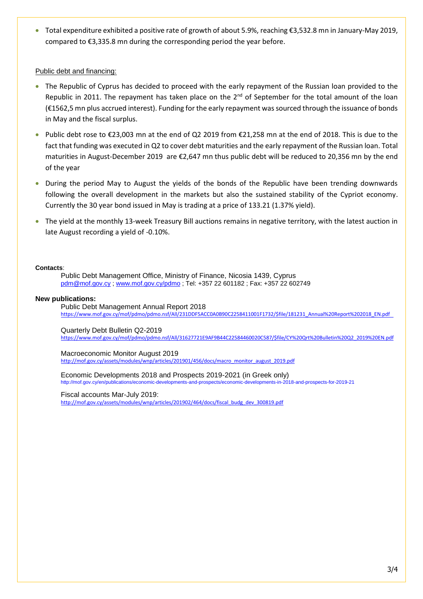• Total expenditure exhibited a positive rate of growth of about 5.9%, reaching €3,532.8 mn in January-May 2019, compared to €3,335.8 mn during the corresponding period the year before.

# Public debt and financing:

- The Republic of Cyprus has decided to proceed with the early repayment of the Russian loan provided to the Republic in 2011. The repayment has taken place on the 2<sup>nd</sup> of September for the total amount of the loan (€1562,5 mn plus accrued interest). Funding for the early repayment was sourced through the issuance of bonds in May and the fiscal surplus.
- Public debt rose to €23,003 mn at the end of Q2 2019 from €21,258 mn at the end of 2018. This is due to the fact that funding was executed in Q2 to cover debt maturities and the early repayment of the Russian loan. Total maturities in August-December 2019 are €2,647 mn thus public debt will be reduced to 20,356 mn by the end of the year
- During the period May to August the yields of the bonds of the Republic have been trending downwards following the overall development in the markets but also the sustained stability of the Cypriot economy. Currently the 30 year bond issued in May is trading at a price of 133.21 (1.37% yield).
- The yield at the monthly 13-week Treasury Bill auctions remains in negative territory, with the latest auction in late August recording a yield of -0.10%.

### **Contacts**:

Public Debt Management Office, Ministry of Finance, Nicosia 1439, Cyprus [pdm@mof.gov.cy](mailto:pdm@mof.gov.cy) ; [www.mof.gov.cy/pdmo](http://www.mof.gov.cy/pdmo) ; Tel: +357 22 601182 ; Fax: +357 22 602749

#### **New publications:**

Public Debt Management Annual Report 2018 [https://www.mof.gov.cy/mof/pdmo/pdmo.nsf/All/231DDF5ACC0A0B90C2258411001F1732/\\$file/181231\\_Annual%20Report%202018\\_EN.pdf](https://www.mof.gov.cy/mof/pdmo/pdmo.nsf/All/231DDF5ACC0A0B90C2258411001F1732/$file/181231_Annual%20Report%202018_EN.pdf)

Quarterly Debt Bulletin Q2-2019

[https://www.mof.gov.cy/mof/pdmo/pdmo.nsf/All/31627721E9AF9B44C22584460020C587/\\$file/CY%20Qrt%20Bulletin%20Q2\\_2019%20EN.pdf](https://www.mof.gov.cy/mof/pdmo/pdmo.nsf/All/31627721E9AF9B44C22584460020C587/$file/CY%20Qrt%20Bulletin%20Q2_2019%20EN.pdf)

Macroeconomic Monitor August 2019 [http://mof.gov.cy/assets/modules/wnp/articles/201901/456/docs/macro\\_monitor\\_august\\_2019.pdf](http://mof.gov.cy/assets/modules/wnp/articles/201901/456/docs/macro_monitor_august_2019.pdf)

Economic Developments 2018 and Prospects 2019-2021 (in Greek only) <http://mof.gov.cy/en/publications/economic-developments-and-prospects/economic-developments-in-2018-and-prospects-for-2019-21>

Fiscal accounts Mar-July 2019:

[http://mof.gov.cy/assets/modules/wnp/articles/201902/464/docs/fiscal\\_budg\\_dev\\_300819.pdf](http://mof.gov.cy/assets/modules/wnp/articles/201902/464/docs/fiscal_budg_dev_300819.pdf)